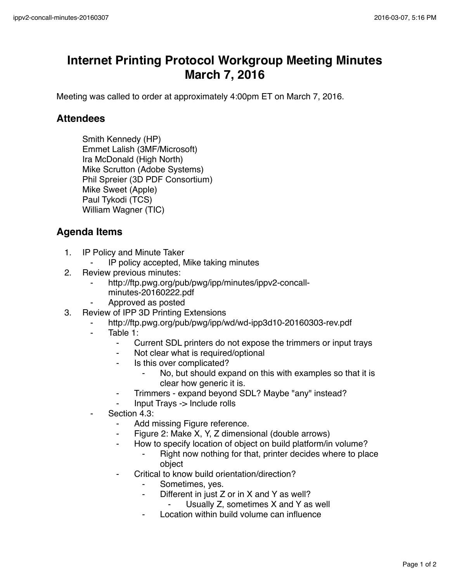## **Internet Printing Protocol Workgroup Meeting Minutes March 7, 2016**

Meeting was called to order at approximately 4:00pm ET on March 7, 2016.

## **Attendees**

Smith Kennedy (HP) Emmet Lalish (3MF/Microsoft) Ira McDonald (High North) Mike Scrutton (Adobe Systems) Phil Spreier (3D PDF Consortium) Mike Sweet (Apple) Paul Tykodi (TCS) William Wagner (TIC)

## **Agenda Items**

- 1. IP Policy and Minute Taker
	- IP policy accepted, Mike taking minutes
- 2. Review previous minutes:
	- http://ftp.pwg.org/pub/pwg/ipp/minutes/ippv2-concallminutes-20160222.pdf
	- ⁃ Approved as posted
- 3. Review of IPP 3D Printing Extensions
	- http://ftp.pwg.org/pub/pwg/ipp/wd/wd-ipp3d10-20160303-rev.pdf
	- Table 1:
		- ⁃ Current SDL printers do not expose the trimmers or input trays
		- Not clear what is required/optional
		- Is this over complicated?
			- No, but should expand on this with examples so that it is clear how generic it is.
		- ⁃ Trimmers expand beyond SDL? Maybe "any" instead?
		- ⁃ Input Trays -> Include rolls
	- Section 4.3:
		- ⁃ Add missing Figure reference.
		- Figure 2: Make X, Y, Z dimensional (double arrows)
		- ⁃ How to specify location of object on build platform/in volume?
			- Right now nothing for that, printer decides where to place object
		- Critical to know build orientation/direction?
			- Sometimes, yes.
			- ⁃ Different in just Z or in X and Y as well?
				- Usually Z, sometimes X and Y as well
			- Location within build volume can influence